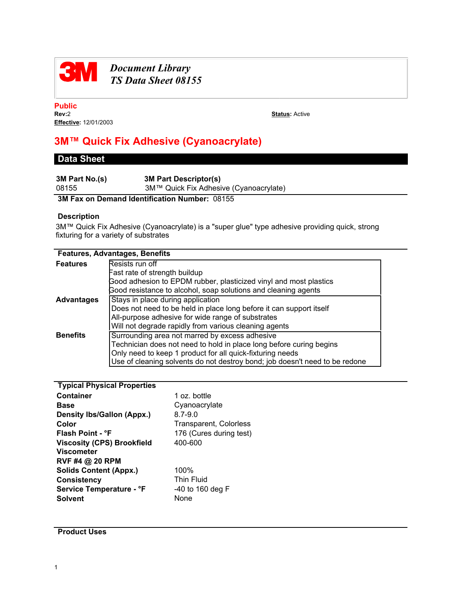

# *Document Library TS Data Sheet 08155*

**Public Effective:** 12/01/2003

**Status: Active** 

# **3M™ Quick Fix Adhesive (Cyanoacrylate)**

## **Data Sheet**

| 3M Part No.(s) | <b>3M Part Descriptor(s)</b>           |
|----------------|----------------------------------------|
| 08155          | 3M™ Quick Fix Adhesive (Cyanoacrylate) |
|                |                                        |

## **3M Fax on Demand Identification Number:** 08155

### **Description**

3M™ Quick Fix Adhesive (Cyanoacrylate) is a "super glue" type adhesive providing quick, strong fixturing for a variety of substrates

| <b>Features, Advantages, Benefits</b> |                                                                                                                                                                                                                                                                   |  |
|---------------------------------------|-------------------------------------------------------------------------------------------------------------------------------------------------------------------------------------------------------------------------------------------------------------------|--|
| <b>Features</b>                       | Resists run off                                                                                                                                                                                                                                                   |  |
|                                       | Fast rate of strength buildup                                                                                                                                                                                                                                     |  |
|                                       | Good adhesion to EPDM rubber, plasticized vinyl and most plastics<br>Good resistance to alcohol, soap solutions and cleaning agents                                                                                                                               |  |
| <b>Advantages</b>                     | Stays in place during application<br>Does not need to be held in place long before it can support itself                                                                                                                                                          |  |
|                                       | All-purpose adhesive for wide range of substrates<br>Will not degrade rapidly from various cleaning agents                                                                                                                                                        |  |
| <b>Benefits</b>                       | Surrounding area not marred by excess adhesive<br>Technician does not need to hold in place long before curing begins<br>Only need to keep 1 product for all quick-fixturing needs<br>Use of cleaning solvents do not destroy bond; job doesn't need to be redone |  |

| <b>Typical Physical Properties</b> |                               |
|------------------------------------|-------------------------------|
| <b>Container</b>                   | 1 oz. bottle                  |
| <b>Base</b>                        | Cyanoacrylate                 |
| <b>Density Ibs/Gallon (Appx.)</b>  | $8.7 - 9.0$                   |
| Color                              | <b>Transparent, Colorless</b> |
| Flash Point - °F                   | 176 (Cures during test)       |
| <b>Viscosity (CPS) Brookfield</b>  | 400-600                       |
| <b>Viscometer</b>                  |                               |
| RVF #4 @ 20 RPM                    |                               |
| <b>Solids Content (Appx.)</b>      | 100%                          |
| <b>Consistency</b>                 | <b>Thin Fluid</b>             |
| Service Temperature - °F           | -40 to 160 deg F              |
| <b>Solvent</b>                     | None                          |
|                                    |                               |

**Product Uses**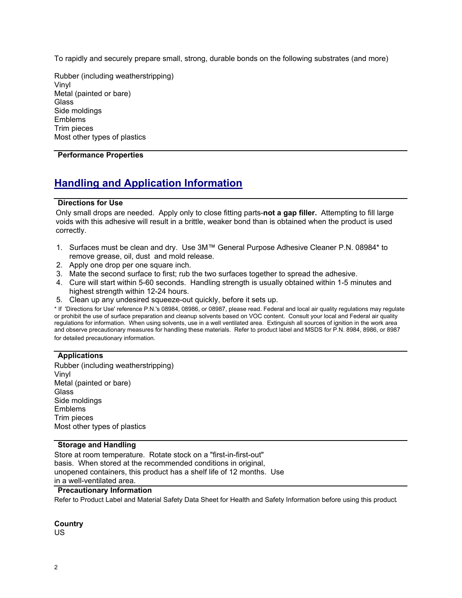To rapidly and securely prepare small, strong, durable bonds on the following substrates (and more)

Rubber (including weatherstripping) Vinyl Metal (painted or bare) **Glass** Side moldings Emblems Trim pieces Most other types of plastics

### **Performance Properties**

# **Handling and Application Information**

#### **Directions for Use**

Only small drops are needed. Apply only to close fitting parts-**not a gap filler.** Attempting to fill large voids with this adhesive will result in a brittle, weaker bond than is obtained when the product is used correctly.

- 1. Surfaces must be clean and dry. Use 3M™ General Purpose Adhesive Cleaner P.N. 08984\* to remove grease, oil, dust and mold release.
- 2. Apply one drop per one square inch.
- 3. Mate the second surface to first; rub the two surfaces together to spread the adhesive.
- 4. Cure will start within 5-60 seconds. Handling strength is usually obtained within 1-5 minutes and highest strength within 12-24 hours.
- 5. Clean up any undesired squeeze-out quickly, before it sets up.

\* If 'Directions for Use' reference P.N.'s 08984, 08986, or 08987, please read. Federal and local air quality regulations may regulate or prohibit the use of surface preparation and cleanup solvents based on VOC content. Consult your local and Federal air quality regulations for information. When using solvents, use in a well ventilated area. Extinguish all sources of ignition in the work area and observe precautionary measures for handling these materials. Refer to product label and MSDS for P.N. 8984, 8986, or 8987 for detailed precautionary information.

#### **Applications**

Rubber (including weatherstripping) Vinyl Metal (painted or bare) **Glass** Side moldings Emblems Trim pieces Most other types of plastics

#### **Storage and Handling**

Store at room temperature. Rotate stock on a "first-in-first-out" basis. When stored at the recommended conditions in original, unopened containers, this product has a shelf life of 12 months. Use in a well-ventilated area.

### **Precautionary Information**

Refer to Product Label and Material Safety Data Sheet for Health and Safety Information before using this product.

# **Country**

US